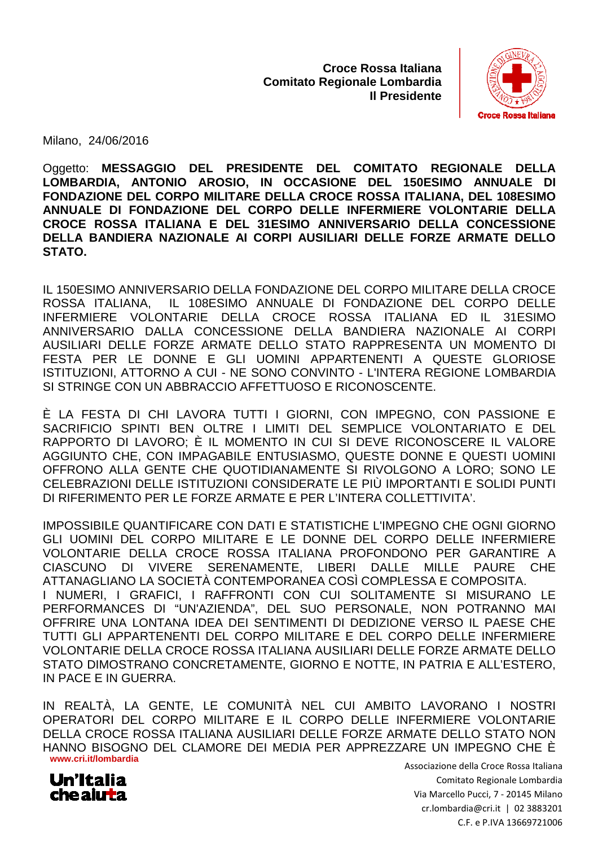**Croce Rossa Italiana Comitato Regionale Lombardia Il Presidente**



Milano, 24/06/2016

Oggetto: **MESSAGGIO DEL PRESIDENTE DEL COMITATO REGIONALE DELLA LOMBARDIA, ANTONIO AROSIO, IN OCCASIONE DEL 150 150ESIMO ESIMO ANNUALE DI FONDAZIONE DEL CORPO MILITARE DELLA CROCE ROSSA ITALIANA, DEL 10 108ESIMO ANNUALE DI FONDAZIONE DEL CORPO DELLE INFERMIERE VOLONTARIE DELLA**  CROCE ROSSA ITALIANA E DEL 31ESIMO ANNIVERSARIO DELLA CONCESSIONE **DELLA BANDIERA NAZIONALE AI CORPI AUSILIARI DELLE FORZE ARMATE DELLO STATO.** 

IL 150ESIMO ANNIVERSARIO DELLA FONDAZIONE DEL CORPO MILITARE DELLA DELLA CROCE ROSSA ITALIANA. INFERMIERE VOLONTARIE DELLA CROCE ROSSA ITALIANA ANNIVERSARIO DALLA CONCESSIONE DELLA BANDIERA NAZIONALE AI CORPI AUSILIARI DELLE FORZE ARMATE DELLO STATO RAPPRESENTA UN MOMENT MOMENTO DI FESTA PER LE DONNE E GLI UOMINI APPARTENENTI A QUESTE GLORIOSE ISTITUZIONI, ATTORNO A CUI - NE SONO CONVINTO - L'INTERA REGIONE LOMBARDIA SI STRINGE CON UN ABBRACCIO AFFETTUOSO E RICONOSCENTE. IL 108ESIMO ANNUALE DI FONDAZIONE DEL CORPO DELLE ED IL 31ESIMO

È LA FESTA DI CHI LAVORA TUTTI I GIORNI, CON IMPEGNO, CON PASSIONE E SACRIFICIO SPINTI BEN OLTRE I LIMITI DEL SEMPLICE VOLONTARIATO E DEL RAPPORTO DI LAVORO; È IL MOMENTO IN CUI SI DEVE RICONOSCERE IL VALORE AGGIUNTO CHE, CON IMPAGABILE ENTUSIASMO, QUESTE DONNE E QUESTI UOMINI OFFRONO ALLA GENTE CHE QUOTIDIANAMENTE SI RIVOLGONO A LORO; SONO LE CELEBRAZIONI DELLE ISTITUZIONI CONSIDERATE LE PIÙ IMPORTANTI E SOLIDI PUNTI DI RIFERIMENTO PER LE FORZE ARMATE E PER L L'INTERA COLLETTIVITA'.

IMPOSSIBILE QUANTIFICARE CON DATI E STATISTICHE L'IMPEGNO CHE OGNI GIORNO GLI UOMINI DEL CORPO MILITARE E LE DONNE DEL CORPO DELLE INFERMIERE VOLONTARIE DELLA CROCE ROSSA ITALIANA PROFONDONO PER GARANTIRE A CIASCUNO DI VIVERE SERENAMENTE, LIBERI DALLE MILLE PAURE CHE ATTANAGLIANO LA SOCIETÀ CONTEMPORANEA COSÌ COMPLESSA E I NUMERI, I GRAFICI, I RAFFRONTI CON CUI SOLITAMENTE SI MISURANO LE PERFORMANCES DI "UN'AZIENDA", DEL SUO PERSONALE, NON POTRANNO MAI<br>OFFRIRE UNA LONTANA IDEA DEI SENTIMENTI DI DEDIZIONE VERSO IL PAESE CHE<br>TUTTI GLI APPARTENENTI DEL CORPO MILITARE E DEL CORPO DELLE INFERMIERE<br>VOLONTARIE DE OFFRIRE UNA LONTANA IDEA DEI SENTIMENTI DI DEDIZIONE VERSO IL PAESE CHE TUTTI GLI APPARTENENTI DEL CORPO MILITAR MILITARE E DEL CORPO DELLE INFERMIERE VOLONTARIE DELLA CROCE ROSSA ITALIANA AUSILIARI DELLE FORZE ARMATE DELLO STATO DIMOSTRANO CONCRETAMENTE, GIORNO E NOTTE, IN PATRIA E ALL'ESTERO, IN PACE E IN GUERRA. LGONO A LORO; SONO<br>APORTANTI E SOLIDI PI<br>OLLETTIVITA'.<br>IPEGNO CHE OGNI GIO<br>ORPO DELLE INFERMI<br>DONO PER GARANTIR<br>LE MILLE PAURE<br>PLESSA E COMPOSITA.

**www.cri.it/lombardia** IN REALTÀ, LA GENTE, LE COMUNITÀ NEL CUI AMBITO LAVORANO I OPERATORI DEL CORPO MILITARE E IL CORPO DELLE INFERMIERE VOLONTARIE DELLA CROCE ROSSA ITALIANA AUSILIARI DELLE FORZE ARMATE DELLO STATO NON HANNO BISOGNO DEL CLAMORE DEI MEDIA PER APPREZZARE UN IMPEGNO CHE È



Associazione della Croce Rossa Italiana Via Marcello Pucci, 7 - 20145 Milano cr.lombardia@cri.it | 02 3883201 Comitato Regionale Lombardia C.F. e P.IVA 13669721006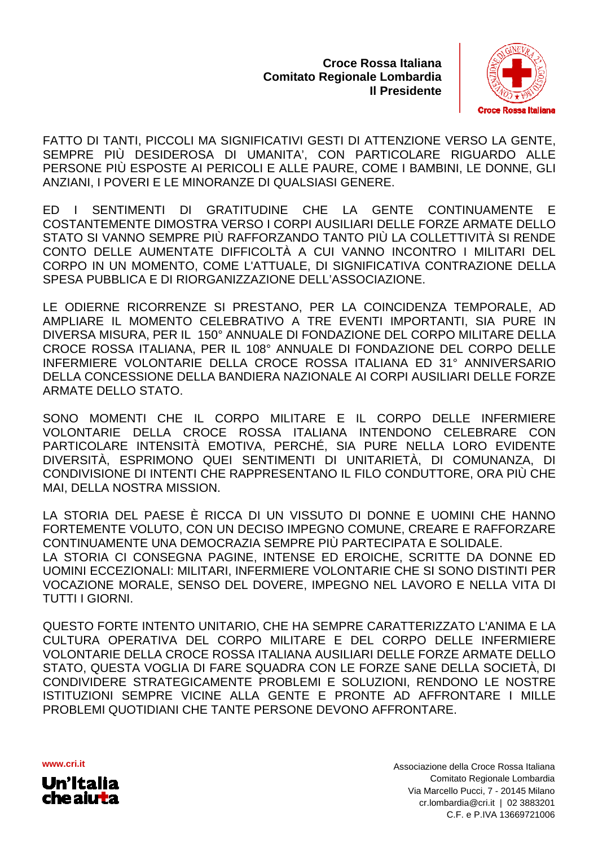**Croce Rossa Italiana Comitato Regionale Lombardia Il Presidente**



FATTO DI TANTI, PICCOLI MA SIGNIFICATIVI GESTI DI ATTENZIONE VERSO LA GENTE, SEMPRE PIÙ DESIDEROSA DI UMANITA', CON PARTICOLARE RIGUARDO ALLE PERSONE PIÙ ESPOSTE AI PERICOLI E ALLE PAURE, COME I BAMBINI, LE DONNE, GLI ANZIANI, I POVERI E LE MINORANZE DI QUALSIASI GENERE.

ED I SENTIMENTI DI GRA COSTANTEMENTE DIMOSTRA VERSO I CORPI AUSILIARI DELLE FORZE ARMATE DELLO STATO SI VANNO SEMPRE PIÙ RAFFORZANDO TANTO PIÙ LA COLLETTIVITÀ SI CONTO DELLE AUMENTATE DIFFICOLTÀ A CUI VANNO INCONTRO I MILITARI DEL CORPO IN UN MOMENTO, COME L'ATTUALE, DI SIGNIFICATIVA CONTRAZIONE DELLA SPESA PUBBLICA E DI RIORGANIZZAZIONE DELL'ASSOCIAZIONE. CHE LA GENTE CONTINUAMENTE E IL UMANITA', CON PARTICOLARE RIGUARDO ALLE<br>ICOLI E ALLE PAURE, COME I BAMBINI, LE DONNE, GLI<br>NZE DI QUALSIASI GENERE.<br>TITUDINE CHE LA GENTE CONTINUAMENTE E<br>ERSO I CORPI AUSILIARI DELLE FORZE ARMATE DELLO<br>RAFFORZANDO TANTO

LE ODIERNE RICORRENZE SI PRESTANO, PER LA COINCIDENZA TEMPORALE, AD AMPLIARE IL MOMENTO CELEBRATIVO A TRE EVENTI IMPORTANTI, SIA PURE IN DIVERSA MISURA, PER IL 150° ANNUALE DI FONDAZIONE DEL CORPO MILITARE DELLA CROCE ROSSA ITALIANA, PER IL 108° ANNUALE DI FONDAZIONE DEL CORPO DELLE CROCE ROSSA ITALIANA, PER IL 108º ANNUALE DI FONDAZIONE DEL CORPO DELLE<br>INFERMIERE VOLONTARIE DELLA CROCE ROSSA ITALIANA ED 31º ANNIVERSARIO DELLA CONCESSIONE DELLA BANDIERA NAZIONALE AI CORPI AUSILIARI DELLE FORZE ARMATE DELLO STATO.

SONO MOMENTI CHE IL CORPO MILITARE E IL CORPO DELLE INFERMIERE VOLONTARIE DELLA CROCE ROSSA ITALIANA INTENDONO CELEBRARE CON PARTICOLARE INTENSITÀ EMOTIVA, PERCHÉ, SIA PURE NELLA LORO EVIDENTE DIVERSITÀ, ESPRIMONO QUEI SENTIMENTI DI UNITARIETÀ, DI COMUNANZA, DI CONDIVISIONE DI INTENTI CHE RAPPRESENTANO IL FILO CONDUTTORE, ORA PIÙ CHE MAI, DELLA NOSTRA MISSION.

LA STORIA DEL PAESE È RICCA DI UN VISSUTO DI DONNE E UOMINI CHE HANNO FORTEMENTE VOLUTO, CON UN DECISO IMPEGNO COMUNE, CREARE E RAFFORZARE CONTINUAMENTE UNA DEMOCRAZIA SEMPRE PIÙ PARTECIPATA E SOLIDALE. LA STORIA CI CONSEGNA PAGINE, INTENSE ED EROICHE, SCRITTE DA DONNE ED UOMINI ECCEZIONALI: MILITARI, INFERMIERE VOLONTARIE CHE SI SONO DISTINTI PER VOCAZIONE MORALE, SENSO DEL DOVERE, IMPEGNO NEL LAVORO E NELLA VITA DI TUTTI I GIORNI. ON.<br>RICCA DI UN VISSUTO DI DONNE E UOMINI CHE HANNO<br>DN UN DECISO IMPEGNO COMUNE, CREARE E RAFFORZARE<br>MOCRAZIA SEMPRE PIÙ PARTECIPATA E SOLIDALE.<br>\ PAGINE, INTENSE ED EROICHE, SCRITTE DA DONNE ED VITENDONO CELEBRARE CON<br>PURE NELLA LORO EVIDENTE<br>TARIETÀ, DI COMUNANZA, DI<br>LO CONDUTTORE, ORA PIÙ CHE<br>DONNE E UOMINI CHE HANNO<br>MUNE, CREARE E RAFFORZARE<br>TECIPATA E SOLIDALE.<br>JICHE, SCRITTE DA DONNE ED<br>NEL CHE SI SONO DISTI

QUESTO FORTE INTENTO UNITARIO, CHE HA SEMPRE CARATTERIZZA CULTURA OPERATIVA DEL CORPO MILITARE E DEL CORPO DELLE INFERMIERE VOLONTARIE DELLA CROCE ROSSA ITALIANA AUSILIARI DELLE FORZE ARMATE DELLO STATO, QUESTA VOGLIA DI FARE SQUADRA CON LE FORZE SANE DELLA SOCIETÀ, DI CONDIVIDERE STRATEGICAMENTE PROBLEMI E SOLUZIONI, RENDONO L LE NOSTRE ISTITUZIONI SEMPRE VICINE ALLA GENTE E PRONTE AD AFFRONTARE I MILLE PROBLEMI QUOTIDIANI CHE TANTE PERSONE DEVONO AFFRONTARE.